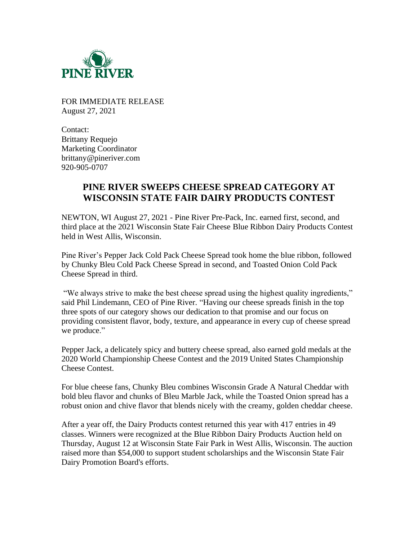

FOR IMMEDIATE RELEASE August 27, 2021

Contact: Brittany Requejo Marketing Coordinator brittany@pineriver.com 920-905-0707

## **PINE RIVER SWEEPS CHEESE SPREAD CATEGORY AT WISCONSIN STATE FAIR DAIRY PRODUCTS CONTEST**

NEWTON, WI August 27, 2021 - Pine River Pre-Pack, Inc. earned first, second, and third place at the 2021 Wisconsin State Fair Cheese Blue Ribbon Dairy Products Contest held in West Allis, Wisconsin.

Pine River's Pepper Jack Cold Pack Cheese Spread took home the blue ribbon, followed by Chunky Bleu Cold Pack Cheese Spread in second, and Toasted Onion Cold Pack Cheese Spread in third.

"We always strive to make the best cheese spread using the highest quality ingredients," said Phil Lindemann, CEO of Pine River. "Having our cheese spreads finish in the top three spots of our category shows our dedication to that promise and our focus on providing consistent flavor, body, texture, and appearance in every cup of cheese spread we produce."

Pepper Jack, a delicately spicy and buttery cheese spread, also earned gold medals at the 2020 World Championship Cheese Contest and the 2019 United States Championship Cheese Contest.

For blue cheese fans, Chunky Bleu combines Wisconsin Grade A Natural Cheddar with bold bleu flavor and chunks of Bleu Marble Jack, while the Toasted Onion spread has a robust onion and chive flavor that blends nicely with the creamy, golden cheddar cheese.

After a year off, the Dairy Products contest returned this year with 417 entries in 49 classes. Winners were recognized at the Blue Ribbon Dairy Products Auction held on Thursday, August 12 at Wisconsin State Fair Park in West Allis, Wisconsin. The auction raised more than \$54,000 to support student scholarships and the Wisconsin State Fair Dairy Promotion Board's efforts.